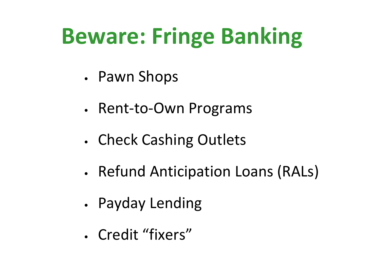## **Beware: Fringe Banking**

- Pawn Shops
- Rent-to-Own Programs
- Check Cashing Outlets
- Refund Anticipation Loans (RALs)
- Payday Lending
- Credit "fixers"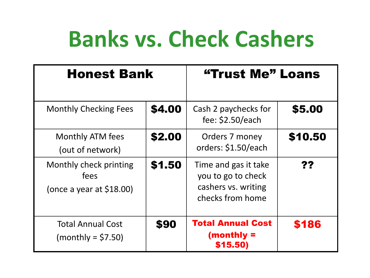### **Banks vs. Check Cashers**

| <b>Honest Bank</b>                                           |        | "Trust Me" Loans                                                                      |         |
|--------------------------------------------------------------|--------|---------------------------------------------------------------------------------------|---------|
| <b>Monthly Checking Fees</b>                                 | \$4.00 | Cash 2 paychecks for<br>fee: $$2.50/each$                                             | \$5.00  |
| Monthly ATM fees<br>(out of network)                         | \$2.00 | Orders 7 money<br>orders: \$1.50/each                                                 | \$10.50 |
| Monthly check printing<br>fees<br>(once a year at $$18.00$ ) | \$1.50 | Time and gas it take<br>you to go to check<br>cashers vs. writing<br>checks from home | ??      |
| <b>Total Annual Cost</b><br>$(monthly = $7.50)$              | \$90   | <b>Total Annual Cost</b><br>$(monthly =$<br>\$15.50)                                  | \$186   |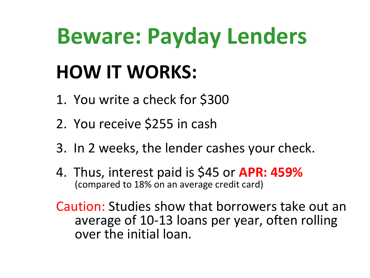#### **HOW IT WORKS:**

- 1. You write a check for \$300
- 2. You receive \$255 in cash
- 3. In 2 weeks, the lender cashes your check.
- 4. Thus, interest paid is \$45 or **APR: 459%** (compared to 18% on an average credit card)

Caution: Studies show that borrowers take out an average of 10-13 loans per year, often rolling over the initial loan.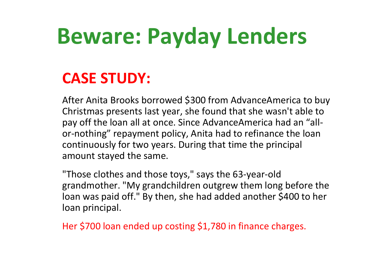#### **CASE STUDY:**

After Anita Brooks borrowed \$300 from AdvanceAmerica to buy Christmas presents last year, she found that she wasn't able to pay off the loan all at once. Since AdvanceAmerica had an "allor-nothing" repayment policy, Anita had to refinance the loan continuously for two years. During that time the principal amount stayed the same.

"Those clothes and those toys," says the 63-year-old grandmother. "My grandchildren outgrew them long before the loan was paid off." By then, she had added another \$400 to her loan principal.

Her \$700 loan ended up costing \$1,780 in finance charges.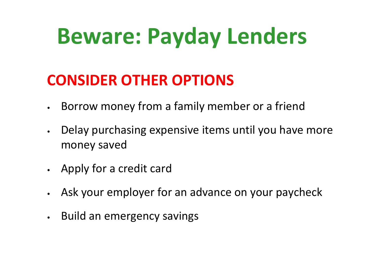#### **CONSIDER OTHER OPTIONS**

- Borrow money from a family member or a friend
- Delay purchasing expensive items until you have more money saved
- Apply for a credit card
- Ask your employer for an advance on your paycheck
- Build an emergency savings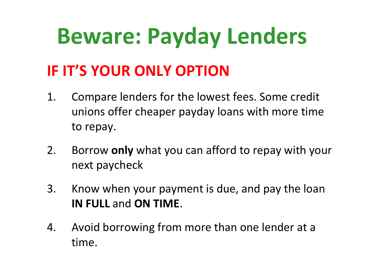#### **IF IT'S YOUR ONLY OPTION**

- 1. Compare lenders for the lowest fees. Some credit unions offer cheaper payday loans with more time to repay.
- 2. Borrow **only** what you can afford to repay with your next paycheck
- 3. Know when your payment is due, and pay the loan **IN FULL** and **ON TIME**.
- 4. Avoid borrowing from more than one lender at a time.